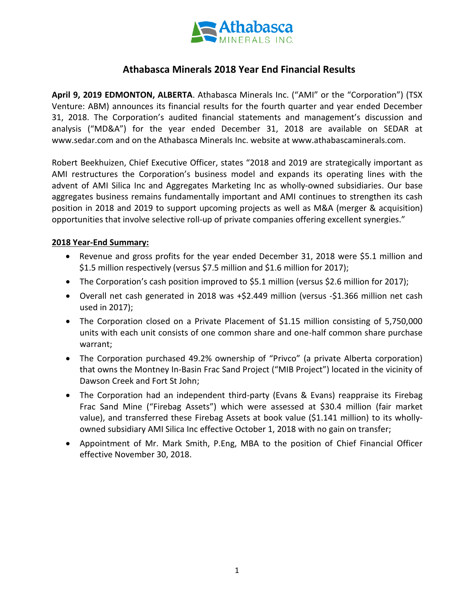

# **Athabasca Minerals 2018 Year End Financial Results**

**April 9, 2019 EDMONTON, ALBERTA**. Athabasca Minerals Inc. ("AMI" or the "Corporation") (TSX Venture: ABM) announces its financial results for the fourth quarter and year ended December 31, 2018. The Corporation's audited financial statements and management's discussion and analysis ("MD&A") for the year ended December 31, 2018 are available on SEDAR at www.sedar.com and on the Athabasca Minerals Inc. website at www.athabascaminerals.com.

Robert Beekhuizen, Chief Executive Officer, states "2018 and 2019 are strategically important as AMI restructures the Corporation's business model and expands its operating lines with the advent of AMI Silica Inc and Aggregates Marketing Inc as wholly-owned subsidiaries. Our base aggregates business remains fundamentally important and AMI continues to strengthen its cash position in 2018 and 2019 to support upcoming projects as well as M&A (merger & acquisition) opportunities that involve selective roll-up of private companies offering excellent synergies."

## **2018 Year-End Summary:**

- Revenue and gross profits for the year ended December 31, 2018 were \$5.1 million and \$1.5 million respectively (versus \$7.5 million and \$1.6 million for 2017);
- The Corporation's cash position improved to \$5.1 million (versus \$2.6 million for 2017);
- Overall net cash generated in 2018 was +\$2.449 million (versus -\$1.366 million net cash used in 2017);
- The Corporation closed on a Private Placement of \$1.15 million consisting of 5,750,000 units with each unit consists of one common share and one-half common share purchase warrant;
- The Corporation purchased 49.2% ownership of "Privco" (a private Alberta corporation) that owns the Montney In-Basin Frac Sand Project ("MIB Project") located in the vicinity of Dawson Creek and Fort St John;
- The Corporation had an independent third-party (Evans & Evans) reappraise its Firebag Frac Sand Mine ("Firebag Assets") which were assessed at \$30.4 million (fair market value), and transferred these Firebag Assets at book value (\$1.141 million) to its whollyowned subsidiary AMI Silica Inc effective October 1, 2018 with no gain on transfer;
- Appointment of Mr. Mark Smith, P.Eng, MBA to the position of Chief Financial Officer effective November 30, 2018.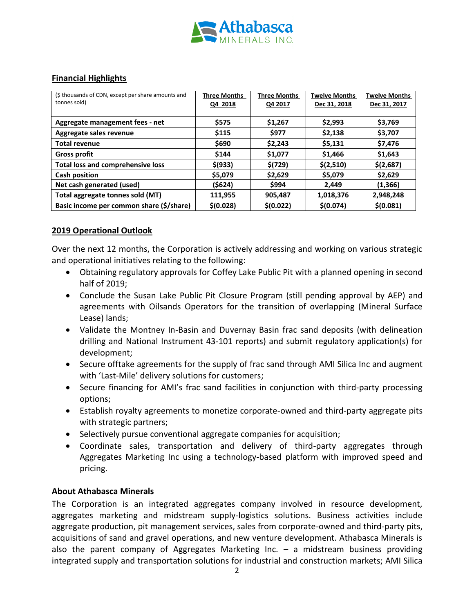

## **Financial Highlights**

| (\$ thousands of CDN, except per share amounts and | <b>Three Months</b> | <b>Three Months</b> | <b>Twelve Months</b> | <b>Twelve Months</b> |
|----------------------------------------------------|---------------------|---------------------|----------------------|----------------------|
| tonnes sold)                                       | Q4 2018             | Q4 2017             | Dec 31, 2018         | Dec 31, 2017         |
|                                                    |                     |                     |                      |                      |
| Aggregate management fees - net                    | \$575               | \$1,267             | \$2,993              | \$3,769              |
| Aggregate sales revenue                            | \$115               | \$977               | \$2,138              | \$3,707              |
| <b>Total revenue</b>                               | \$690               | \$2,243             | \$5,131              | \$7,476              |
| <b>Gross profit</b>                                | \$144               | \$1,077             | \$1,466              | \$1,643              |
| <b>Total loss and comprehensive loss</b>           | $$$ (933)           | \$(729)             | \$(2,510)            | \$(2,687)            |
| <b>Cash position</b>                               | \$5,079             | \$2,629             | \$5,079              | \$2,629              |
| Net cash generated (used)                          | (\$624)             | \$994               | 2,449                | (1, 366)             |
| Total aggregate tonnes sold (MT)                   | 111,955             | 905,487             | 1,018,376            | 2,948,248            |
| Basic income per common share (\$/share)           | \$(0.028)           | \$(0.022)           | \$(0.074)            | \$(0.081)            |

### **2019 Operational Outlook**

Over the next 12 months, the Corporation is actively addressing and working on various strategic and operational initiatives relating to the following:

- Obtaining regulatory approvals for Coffey Lake Public Pit with a planned opening in second half of 2019;
- Conclude the Susan Lake Public Pit Closure Program (still pending approval by AEP) and agreements with Oilsands Operators for the transition of overlapping (Mineral Surface Lease) lands;
- Validate the Montney In-Basin and Duvernay Basin frac sand deposits (with delineation drilling and National Instrument 43-101 reports) and submit regulatory application(s) for development;
- Secure offtake agreements for the supply of frac sand through AMI Silica Inc and augment with 'Last-Mile' delivery solutions for customers;
- Secure financing for AMI's frac sand facilities in conjunction with third-party processing options;
- Establish royalty agreements to monetize corporate-owned and third-party aggregate pits with strategic partners;
- Selectively pursue conventional aggregate companies for acquisition;
- Coordinate sales, transportation and delivery of third-party aggregates through Aggregates Marketing Inc using a technology-based platform with improved speed and pricing.

### **About Athabasca Minerals**

The Corporation is an integrated aggregates company involved in resource development, aggregates marketing and midstream supply-logistics solutions. Business activities include aggregate production, pit management services, sales from corporate-owned and third-party pits, acquisitions of sand and gravel operations, and new venture development. Athabasca Minerals is also the parent company of Aggregates Marketing Inc. – a midstream business providing integrated supply and transportation solutions for industrial and construction markets; AMI Silica